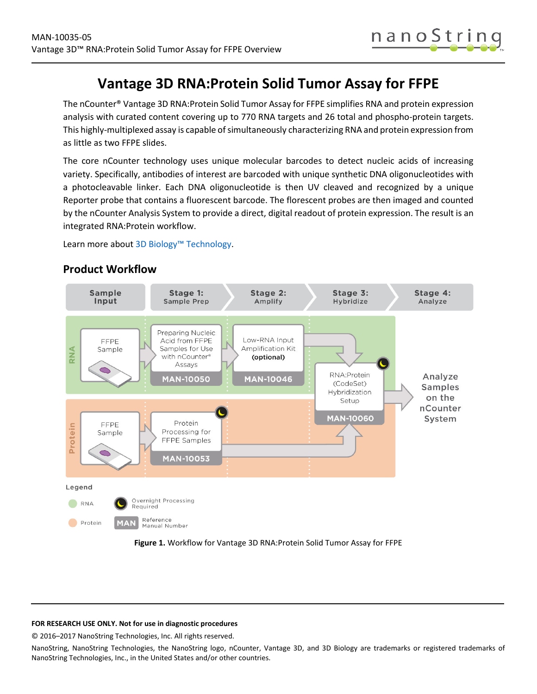

# **Vantage 3D RNA:Protein Solid Tumor Assay for FFPE**

The nCounter® Vantage 3D RNA:Protein Solid Tumor Assay for FFPE simplifies RNA and protein expression analysis with curated content covering up to 770 RNA targets and 26 total and phospho-protein targets. This highly-multiplexed assay is capable of simultaneously characterizing RNA and protein expression from as little as two FFPE slides.

The core nCounter technology uses unique molecular barcodes to detect nucleic acids of increasing variety. Specifically, antibodies of interest are barcoded with unique synthetic DNA oligonucleotides with a photocleavable linker. Each DNA oligonucleotide is then UV cleaved and recognized by a unique Reporter probe that contains a fluorescent barcode. The florescent probes are then imaged and counted by the nCounter Analysis System to provide a direct, digital readout of protein expression. The result is an integrated RNA:Protein workflow.

Learn more abou[t 3D Biology™ Technology.](https://www.nanostring.com/scientific-content/technology-overview/3d-biology-technology)



## **Product Workflow**

<span id="page-0-0"></span>**Figure 1.** Workflow for Vantage 3D RNA:Protein Solid Tumor Assay for FFPE

### **FOR RESEARCH USE ONLY. Not for use in diagnostic procedures**

© 2016–2017 NanoString Technologies, Inc. All rights reserved.

NanoString, NanoString Technologies, the NanoString logo, nCounter, Vantage 3D, and 3D Biology are trademarks or registered trademarks of NanoString Technologies, Inc., in the United States and/or other countries.